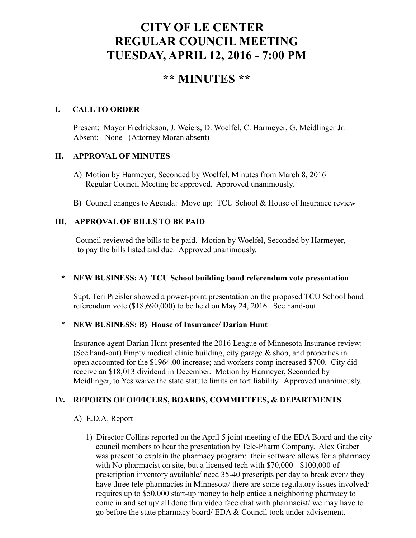# **CITY OF LE CENTER REGULAR COUNCIL MEETING TUESDAY, APRIL 12, 2016 - 7:00 PM**

# **\*\* MINUTES \*\***

#### **I. CALL TO ORDER**

Present: Mayor Fredrickson, J. Weiers, D. Woelfel, C. Harmeyer, G. Meidlinger Jr. Absent: None (Attorney Moran absent)

#### **II. APPROVAL OF MINUTES**

- A) Motion by Harmeyer, Seconded by Woelfel, Minutes from March 8, 2016 Regular Council Meeting be approved. Approved unanimously.
- B) Council changes to Agenda: Move up: TCU School & House of Insurance review

### **III. APPROVAL OF BILLS TO BE PAID**

Council reviewed the bills to be paid. Motion by Woelfel, Seconded by Harmeyer, to pay the bills listed and due. Approved unanimously.

#### **\* NEW BUSINESS: A) TCU School building bond referendum vote presentation**

Supt. Teri Preisler showed a power-point presentation on the proposed TCU School bond referendum vote (\$18,690,000) to be held on May 24, 2016. See hand-out.

#### \* **NEW BUSINESS: B) House of Insurance/ Darian Hunt**

Insurance agent Darian Hunt presented the 2016 League of Minnesota Insurance review: (See hand-out) Empty medical clinic building, city garage & shop, and properties in open accounted for the \$1964.00 increase; and workers comp increased \$700. City did receive an \$18,013 dividend in December. Motion by Harmeyer, Seconded by Meidlinger, to Yes waive the state statute limits on tort liability. Approved unanimously.

# **IV. REPORTS OF OFFICERS, BOARDS, COMMITTEES, & DEPARTMENTS**

#### A) E.D.A. Report

 1) Director Collins reported on the April 5 joint meeting of the EDA Board and the city council members to hear the presentation by Tele-Pharm Company. Alex Graber was present to explain the pharmacy program: their software allows for a pharmacy with No pharmacist on site, but a licensed tech with \$70,000 - \$100,000 of prescription inventory available/ need 35-40 prescripts per day to break even/ they have three tele-pharmacies in Minnesota/ there are some regulatory issues involved/ requires up to \$50,000 start-up money to help entice a neighboring pharmacy to come in and set up/ all done thru video face chat with pharmacist/ we may have to go before the state pharmacy board/ EDA & Council took under advisement.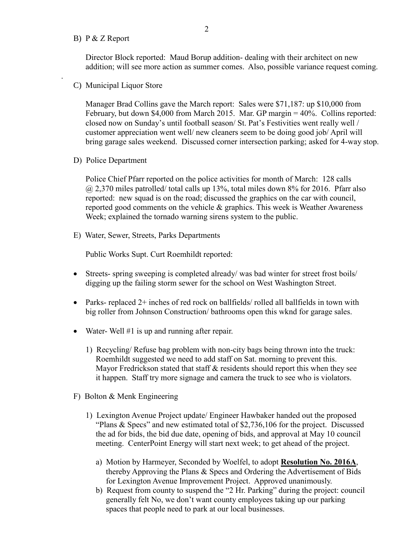#### B) P & Z Report

.

 Director Block reported: Maud Borup addition- dealing with their architect on new addition; will see more action as summer comes. Also, possible variance request coming.

C) Municipal Liquor Store

Manager Brad Collins gave the March report: Sales were \$71,187: up \$10,000 from February, but down \$4,000 from March 2015. Mar. GP margin = 40%. Collins reported: closed now on Sunday's until football season/ St. Pat's Festivities went really well / customer appreciation went well/ new cleaners seem to be doing good job/ April will bring garage sales weekend. Discussed corner intersection parking; asked for 4-way stop.

D) Police Department

Police Chief Pfarr reported on the police activities for month of March: 128 calls @ 2,370 miles patrolled/ total calls up 13%, total miles down 8% for 2016. Pfarr also reported: new squad is on the road; discussed the graphics on the car with council, reported good comments on the vehicle  $\&$  graphics. This week is Weather Awareness Week; explained the tornado warning sirens system to the public.

E) Water, Sewer, Streets, Parks Departments

Public Works Supt. Curt Roemhildt reported:

- Streets- spring sweeping is completed already/ was bad winter for street frost boils/ digging up the failing storm sewer for the school on West Washington Street.
- Parks- replaced 2+ inches of red rock on ballfields/ rolled all ballfields in town with big roller from Johnson Construction/ bathrooms open this wknd for garage sales.
- Water- Well #1 is up and running after repair.
	- 1) Recycling/ Refuse bag problem with non-city bags being thrown into the truck: Roemhildt suggested we need to add staff on Sat. morning to prevent this. Mayor Fredrickson stated that staff & residents should report this when they see it happen. Staff try more signage and camera the truck to see who is violators.
- F) Bolton & Menk Engineering
	- 1) Lexington Avenue Project update/ Engineer Hawbaker handed out the proposed "Plans & Specs" and new estimated total of \$2,736,106 for the project. Discussed the ad for bids, the bid due date, opening of bids, and approval at May 10 council meeting. CenterPoint Energy will start next week; to get ahead of the project.
		- a) Motion by Harmeyer, Seconded by Woelfel, to adopt **Resolution No. 2016A**, thereby Approving the Plans & Specs and Ordering the Advertisement of Bids for Lexington Avenue Improvement Project. Approved unanimously.
		- b) Request from county to suspend the "2 Hr. Parking" during the project: council generally felt No, we don't want county employees taking up our parking spaces that people need to park at our local businesses.